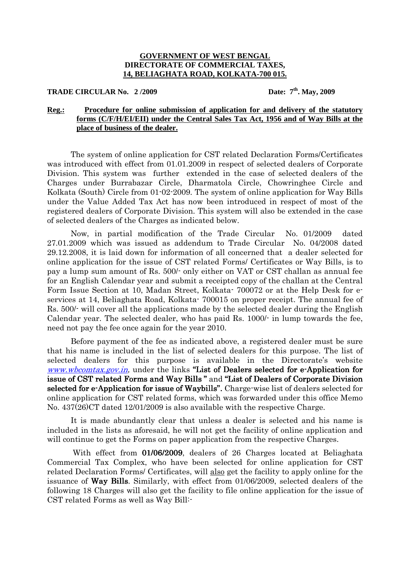## **GOVERNMENT OF WEST BENGAL DIRECTORATE OF COMMERCIAL TAXES, 14, BELIAGHATA ROAD, KOLKATA-700 015.**

**TRADE CIRCULAR No.** 2/2009 **Date:**  $7^{\text{th}}$ , May, 2009

## **Reg.: Procedure for online submission of application for and delivery of the statutory forms (C/F/H/EI/EII) under the Central Sales Tax Act, 1956 and of Way Bills at the place of business of the dealer.**

The system of online application for CST related Declaration Forms/Certificates was introduced with effect from 01.01.2009 in respect of selected dealers of Corporate Division. This system was further extended in the case of selected dealers of the Charges under Burrabazar Circle, Dharmatola Circle, Chowringhee Circle and Kolkata (South) Circle from 01-02-2009. The system of online application for Way Bills under the Value Added Tax Act has now been introduced in respect of most of the registered dealers of Corporate Division. This system will also be extended in the case of selected dealers of the Charges as indicated below.

Now, in partial modification of the Trade Circular No. 01/2009 dated 27.01.2009 which was issued as addendum to Trade Circular No. 04/2008 dated 29.12.2008, it is laid down for information of all concerned that a dealer selected for online application for the issue of CST related Forms/ Certificates or Way Bills, is to pay a lump sum amount of Rs. 500/- only either on VAT or CST challan as annual fee for an English Calendar year and submit a receipted copy of the challan at the Central Form Issue Section at 10, Madan Street, Kolkata- 700072 or at the Help Desk for eservices at 14, Beliaghata Road, Kolkata- 700015 on proper receipt. The annual fee of Rs. 500/- will cover all the applications made by the selected dealer during the English Calendar year. The selected dealer, who has paid Rs. 1000/- in lump towards the fee, need not pay the fee once again for the year 2010.

Before payment of the fee as indicated above, a registered dealer must be sure that his name is included in the list of selected dealers for this purpose. The list of selected dealers for this purpose is available in the Directorate's website www.wbcomtax.gov.in, under the links "List of Dealers selected for e-Application for issue of CST related Forms and Way Bills " and "List of Dealers of Corporate Division selected for e-Application for issue of Waybills". Charge-wise list of dealers selected for online application for CST related forms, which was forwarded under this office Memo No. 437(26)CT dated 12/01/2009 is also available with the respective Charge.

It is made abundantly clear that unless a dealer is selected and his name is included in the lists as aforesaid, he will not get the facility of online application and will continue to get the Forms on paper application from the respective Charges.

With effect from 01/06/2009, dealers of 26 Charges located at Beliaghata Commercial Tax Complex, who have been selected for online application for CST related Declaration Forms/ Certificates, will also get the facility to apply online for the issuance of **Way Bills**. Similarly, with effect from  $01/06/2009$ , selected dealers of the following 18 Charges will also get the facility to file online application for the issue of CST related Forms as well as Way Bill:-